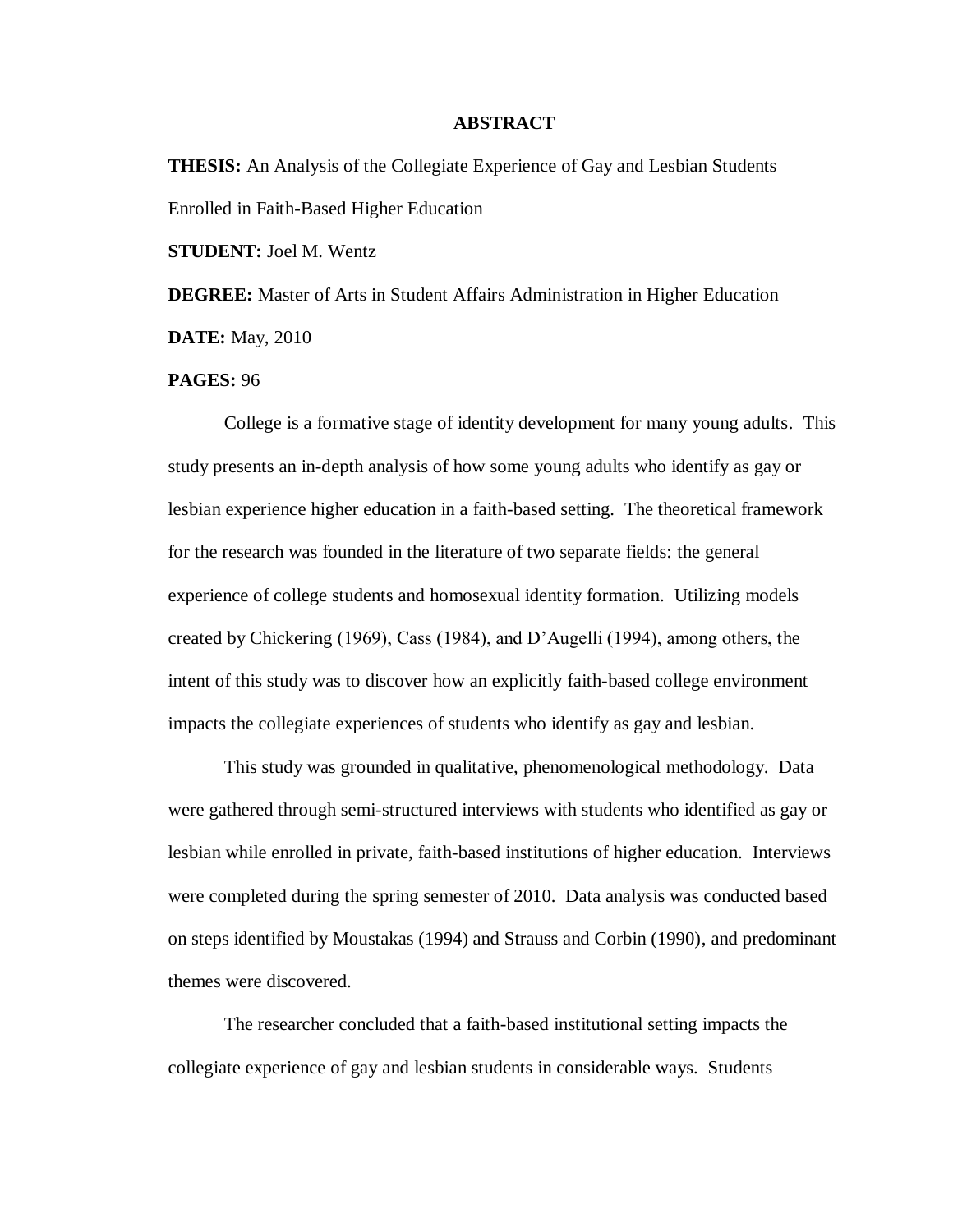## **ABSTRACT**

**THESIS:** An Analysis of the Collegiate Experience of Gay and Lesbian Students Enrolled in Faith-Based Higher Education

**STUDENT:** Joel M. Wentz

**DEGREE:** Master of Arts in Student Affairs Administration in Higher Education **DATE:** May, 2010

## **PAGES:** 96

College is a formative stage of identity development for many young adults. This study presents an in-depth analysis of how some young adults who identify as gay or lesbian experience higher education in a faith-based setting. The theoretical framework for the research was founded in the literature of two separate fields: the general experience of college students and homosexual identity formation. Utilizing models created by Chickering (1969), Cass (1984), and D'Augelli (1994), among others, the intent of this study was to discover how an explicitly faith-based college environment impacts the collegiate experiences of students who identify as gay and lesbian.

This study was grounded in qualitative, phenomenological methodology. Data were gathered through semi-structured interviews with students who identified as gay or lesbian while enrolled in private, faith-based institutions of higher education. Interviews were completed during the spring semester of 2010. Data analysis was conducted based on steps identified by Moustakas (1994) and Strauss and Corbin (1990), and predominant themes were discovered.

The researcher concluded that a faith-based institutional setting impacts the collegiate experience of gay and lesbian students in considerable ways. Students